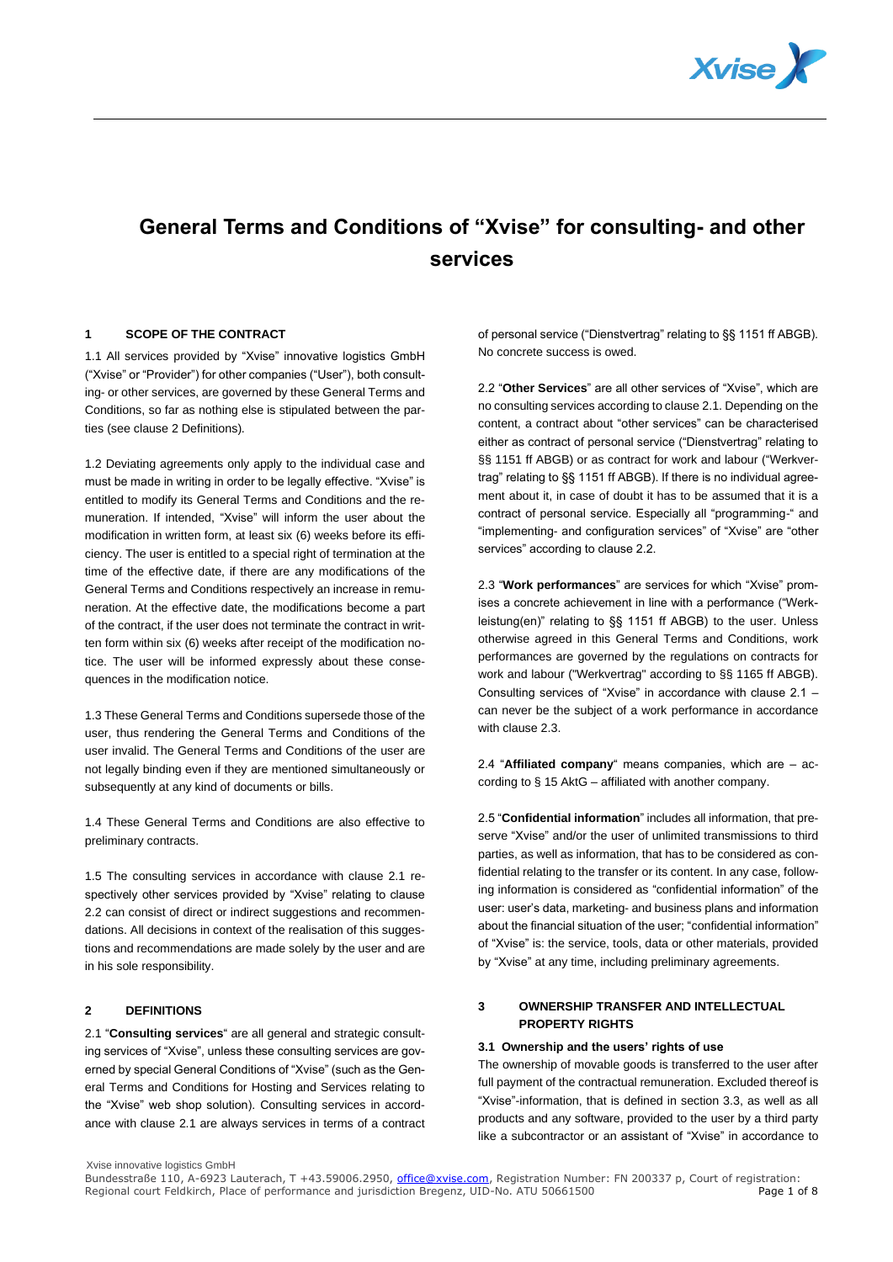

# **General Terms and Conditions of "Xvise" for consulting- and other services**

#### **1 SCOPE OF THE CONTRACT**

1.1 All services provided by "Xvise" innovative logistics GmbH ("Xvise" or "Provider") for other companies ("User"), both consulting- or other services, are governed by these General Terms and Conditions, so far as nothing else is stipulated between the parties (see clause 2 Definitions).

1.2 Deviating agreements only apply to the individual case and must be made in writing in order to be legally effective. "Xvise" is entitled to modify its General Terms and Conditions and the remuneration. If intended, "Xvise" will inform the user about the modification in written form, at least six (6) weeks before its efficiency. The user is entitled to a special right of termination at the time of the effective date, if there are any modifications of the General Terms and Conditions respectively an increase in remuneration. At the effective date, the modifications become a part of the contract, if the user does not terminate the contract in written form within six (6) weeks after receipt of the modification notice. The user will be informed expressly about these consequences in the modification notice.

1.3 These General Terms and Conditions supersede those of the user, thus rendering the General Terms and Conditions of the user invalid. The General Terms and Conditions of the user are not legally binding even if they are mentioned simultaneously or subsequently at any kind of documents or bills.

1.4 These General Terms and Conditions are also effective to preliminary contracts.

1.5 The consulting services in accordance with clause 2.1 respectively other services provided by "Xvise" relating to clause 2.2 can consist of direct or indirect suggestions and recommendations. All decisions in context of the realisation of this suggestions and recommendations are made solely by the user and are in his sole responsibility.

## **2 DEFINITIONS**

2.1 "**Consulting services**" are all general and strategic consulting services of "Xvise", unless these consulting services are governed by special General Conditions of "Xvise" (such as the General Terms and Conditions for Hosting and Services relating to the "Xvise" web shop solution). Consulting services in accordance with clause 2.1 are always services in terms of a contract of personal service ("Dienstvertrag" relating to §§ 1151 ff ABGB). No concrete success is owed.

2.2 "**Other Services**" are all other services of "Xvise", which are no consulting services according to clause 2.1. Depending on the content, a contract about "other services" can be characterised either as contract of personal service ("Dienstvertrag" relating to §§ 1151 ff ABGB) or as contract for work and labour ("Werkvertrag" relating to §§ 1151 ff ABGB). If there is no individual agreement about it, in case of doubt it has to be assumed that it is a contract of personal service. Especially all "programming-" and "implementing- and configuration services" of "Xvise" are "other services" according to clause 2.2.

2.3 "**Work performances**" are services for which "Xvise" promises a concrete achievement in line with a performance ("Werkleistung(en)" relating to §§ 1151 ff ABGB) to the user. Unless otherwise agreed in this General Terms and Conditions, work performances are governed by the regulations on contracts for work and labour ("Werkvertrag" according to §§ 1165 ff ABGB). Consulting services of "Xvise" in accordance with clause 2.1 – can never be the subject of a work performance in accordance with clause 2.3.

2.4 "**Affiliated company**" means companies, which are – according to § 15 AktG – affiliated with another company.

2.5 "**Confidential information**" includes all information, that preserve "Xvise" and/or the user of unlimited transmissions to third parties, as well as information, that has to be considered as confidential relating to the transfer or its content. In any case, following information is considered as "confidential information" of the user: user's data, marketing- and business plans and information about the financial situation of the user; "confidential information" of "Xvise" is: the service, tools, data or other materials, provided by "Xvise" at any time, including preliminary agreements.

# **3 OWNERSHIP TRANSFER AND INTELLECTUAL PROPERTY RIGHTS**

#### **3.1 Ownership and the users' rights of use**

The ownership of movable goods is transferred to the user after full payment of the contractual remuneration. Excluded thereof is "Xvise"-information, that is defined in section 3.3, as well as all products and any software, provided to the user by a third party like a subcontractor or an assistant of "Xvise" in accordance to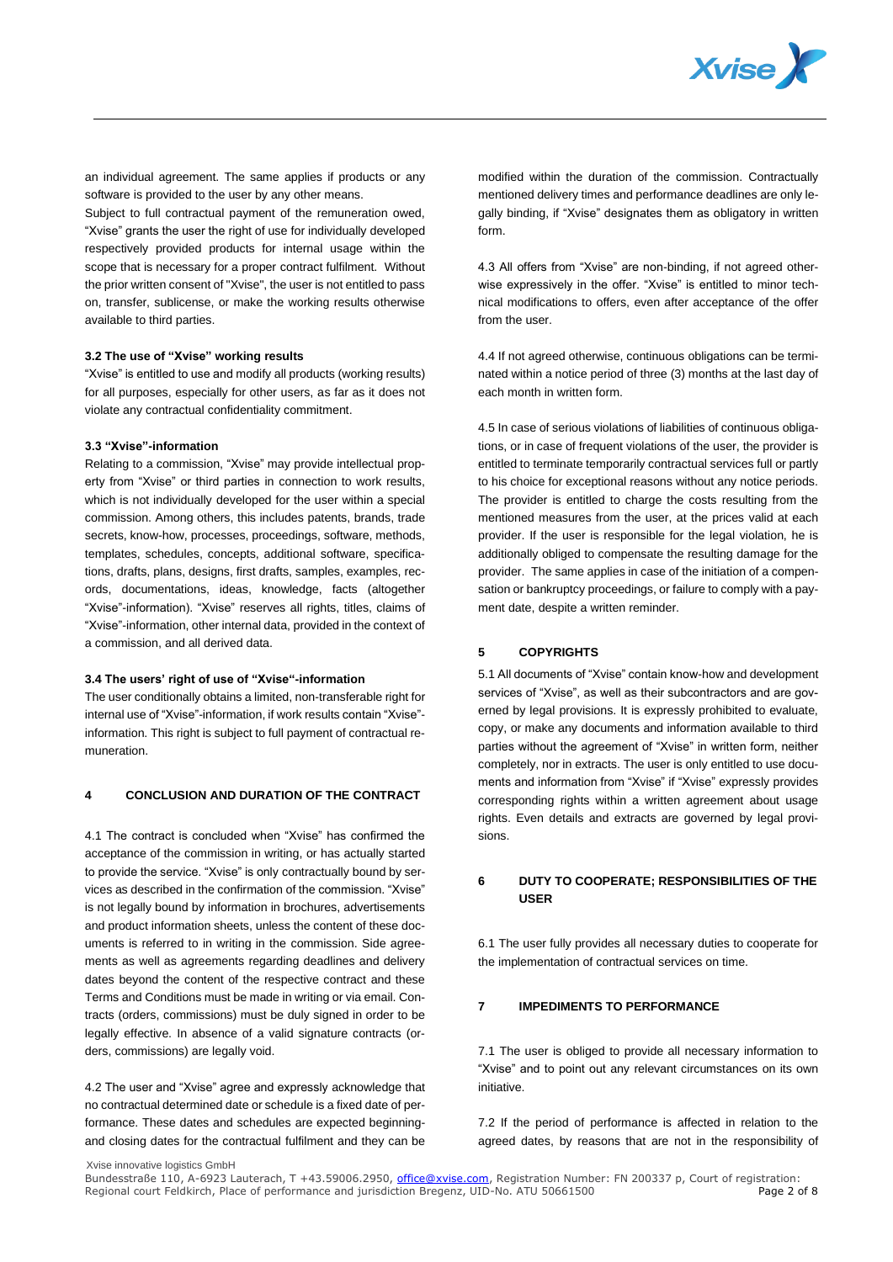

an individual agreement. The same applies if products or any software is provided to the user by any other means.

Subject to full contractual payment of the remuneration owed, "Xvise" grants the user the right of use for individually developed respectively provided products for internal usage within the scope that is necessary for a proper contract fulfilment. Without the prior written consent of "Xvise", the user is not entitled to pass on, transfer, sublicense, or make the working results otherwise available to third parties.

#### **3.2 The use of "Xvise" working results**

"Xvise" is entitled to use and modify all products (working results) for all purposes, especially for other users, as far as it does not violate any contractual confidentiality commitment.

#### **3.3 "Xvise"-information**

Relating to a commission, "Xvise" may provide intellectual property from "Xvise" or third parties in connection to work results, which is not individually developed for the user within a special commission. Among others, this includes patents, brands, trade secrets, know-how, processes, proceedings, software, methods, templates, schedules, concepts, additional software, specifications, drafts, plans, designs, first drafts, samples, examples, records, documentations, ideas, knowledge, facts (altogether "Xvise"-information). "Xvise" reserves all rights, titles, claims of "Xvise"-information, other internal data, provided in the context of a commission, and all derived data.

## **3.4 The users' right of use of "Xvise"-information**

The user conditionally obtains a limited, non-transferable right for internal use of "Xvise"-information, if work results contain "Xvise" information. This right is subject to full payment of contractual remuneration.

# **4 CONCLUSION AND DURATION OF THE CONTRACT**

4.1 The contract is concluded when "Xvise" has confirmed the acceptance of the commission in writing, or has actually started to provide the service. "Xvise" is only contractually bound by services as described in the confirmation of the commission. "Xvise" is not legally bound by information in brochures, advertisements and product information sheets, unless the content of these documents is referred to in writing in the commission. Side agreements as well as agreements regarding deadlines and delivery dates beyond the content of the respective contract and these Terms and Conditions must be made in writing or via email. Contracts (orders, commissions) must be duly signed in order to be legally effective. In absence of a valid signature contracts (orders, commissions) are legally void.

4.2 The user and "Xvise" agree and expressly acknowledge that no contractual determined date or schedule is a fixed date of performance. These dates and schedules are expected beginningand closing dates for the contractual fulfilment and they can be

modified within the duration of the commission. Contractually mentioned delivery times and performance deadlines are only legally binding, if "Xvise" designates them as obligatory in written form.

4.3 All offers from "Xvise" are non-binding, if not agreed otherwise expressively in the offer. "Xvise" is entitled to minor technical modifications to offers, even after acceptance of the offer from the user.

4.4 If not agreed otherwise, continuous obligations can be terminated within a notice period of three (3) months at the last day of each month in written form.

4.5 In case of serious violations of liabilities of continuous obligations, or in case of frequent violations of the user, the provider is entitled to terminate temporarily contractual services full or partly to his choice for exceptional reasons without any notice periods. The provider is entitled to charge the costs resulting from the mentioned measures from the user, at the prices valid at each provider. If the user is responsible for the legal violation, he is additionally obliged to compensate the resulting damage for the provider. The same applies in case of the initiation of a compensation or bankruptcy proceedings, or failure to comply with a payment date, despite a written reminder.

## **5 COPYRIGHTS**

5.1 All documents of "Xvise" contain know-how and development services of "Xvise", as well as their subcontractors and are governed by legal provisions. It is expressly prohibited to evaluate, copy, or make any documents and information available to third parties without the agreement of "Xvise" in written form, neither completely, nor in extracts. The user is only entitled to use documents and information from "Xvise" if "Xvise" expressly provides corresponding rights within a written agreement about usage rights. Even details and extracts are governed by legal provisions.

# **6 DUTY TO COOPERATE; RESPONSIBILITIES OF THE USER**

6.1 The user fully provides all necessary duties to cooperate for the implementation of contractual services on time.

## **7 IMPEDIMENTS TO PERFORMANCE**

7.1 The user is obliged to provide all necessary information to "Xvise" and to point out any relevant circumstances on its own initiative.

7.2 If the period of performance is affected in relation to the agreed dates, by reasons that are not in the responsibility of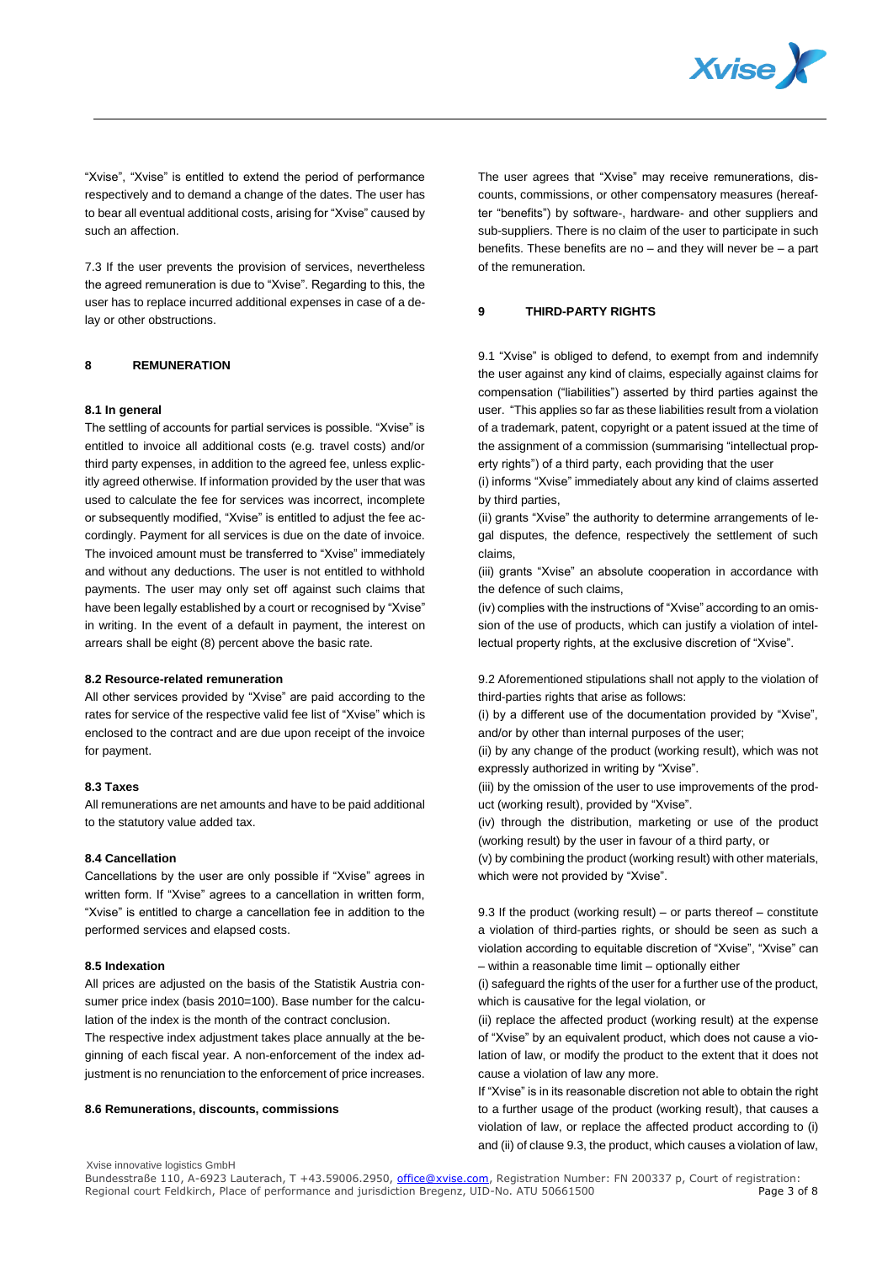

"Xvise", "Xvise" is entitled to extend the period of performance respectively and to demand a change of the dates. The user has to bear all eventual additional costs, arising for "Xvise" caused by such an affection.

7.3 If the user prevents the provision of services, nevertheless the agreed remuneration is due to "Xvise". Regarding to this, the user has to replace incurred additional expenses in case of a delay or other obstructions.

#### **8 REMUNERATION**

#### **8.1 In general**

The settling of accounts for partial services is possible. "Xvise" is entitled to invoice all additional costs (e.g. travel costs) and/or third party expenses, in addition to the agreed fee, unless explicitly agreed otherwise. If information provided by the user that was used to calculate the fee for services was incorrect, incomplete or subsequently modified, "Xvise" is entitled to adjust the fee accordingly. Payment for all services is due on the date of invoice. The invoiced amount must be transferred to "Xvise" immediately and without any deductions. The user is not entitled to withhold payments. The user may only set off against such claims that have been legally established by a court or recognised by "Xvise" in writing. In the event of a default in payment, the interest on arrears shall be eight (8) percent above the basic rate.

## **8.2 Resource-related remuneration**

All other services provided by "Xvise" are paid according to the rates for service of the respective valid fee list of "Xvise" which is enclosed to the contract and are due upon receipt of the invoice for payment.

#### **8.3 Taxes**

All remunerations are net amounts and have to be paid additional to the statutory value added tax.

#### **8.4 Cancellation**

Cancellations by the user are only possible if "Xvise" agrees in written form. If "Xvise" agrees to a cancellation in written form, "Xvise" is entitled to charge a cancellation fee in addition to the performed services and elapsed costs.

#### **8.5 Indexation**

All prices are adjusted on the basis of the Statistik Austria consumer price index (basis 2010=100). Base number for the calculation of the index is the month of the contract conclusion.

The respective index adjustment takes place annually at the beginning of each fiscal year. A non-enforcement of the index adjustment is no renunciation to the enforcement of price increases.

#### **8.6 Remunerations, discounts, commissions**

The user agrees that "Xvise" may receive remunerations, discounts, commissions, or other compensatory measures (hereafter "benefits") by software-, hardware- and other suppliers and sub-suppliers. There is no claim of the user to participate in such benefits. These benefits are no – and they will never be – a part of the remuneration.

#### **9 THIRD-PARTY RIGHTS**

9.1 "Xvise" is obliged to defend, to exempt from and indemnify the user against any kind of claims, especially against claims for compensation ("liabilities") asserted by third parties against the user. "This applies so far as these liabilities result from a violation of a trademark, patent, copyright or a patent issued at the time of the assignment of a commission (summarising "intellectual property rights") of a third party, each providing that the user

(i) informs "Xvise" immediately about any kind of claims asserted by third parties,

(ii) grants "Xvise" the authority to determine arrangements of legal disputes, the defence, respectively the settlement of such claims,

(iii) grants "Xvise" an absolute cooperation in accordance with the defence of such claims,

(iv) complies with the instructions of "Xvise" according to an omission of the use of products, which can justify a violation of intellectual property rights, at the exclusive discretion of "Xvise".

9.2 Aforementioned stipulations shall not apply to the violation of third-parties rights that arise as follows:

(i) by a different use of the documentation provided by "Xvise", and/or by other than internal purposes of the user;

(ii) by any change of the product (working result), which was not expressly authorized in writing by "Xvise".

(iii) by the omission of the user to use improvements of the product (working result), provided by "Xvise".

(iv) through the distribution, marketing or use of the product (working result) by the user in favour of a third party, or

(v) by combining the product (working result) with other materials, which were not provided by "Xvise".

9.3 If the product (working result) – or parts thereof – constitute a violation of third-parties rights, or should be seen as such a violation according to equitable discretion of "Xvise", "Xvise" can – within a reasonable time limit – optionally either

(i) safeguard the rights of the user for a further use of the product, which is causative for the legal violation, or

(ii) replace the affected product (working result) at the expense of "Xvise" by an equivalent product, which does not cause a violation of law, or modify the product to the extent that it does not cause a violation of law any more.

If "Xvise" is in its reasonable discretion not able to obtain the right to a further usage of the product (working result), that causes a violation of law, or replace the affected product according to (i) and (ii) of clause 9.3, the product, which causes a violation of law,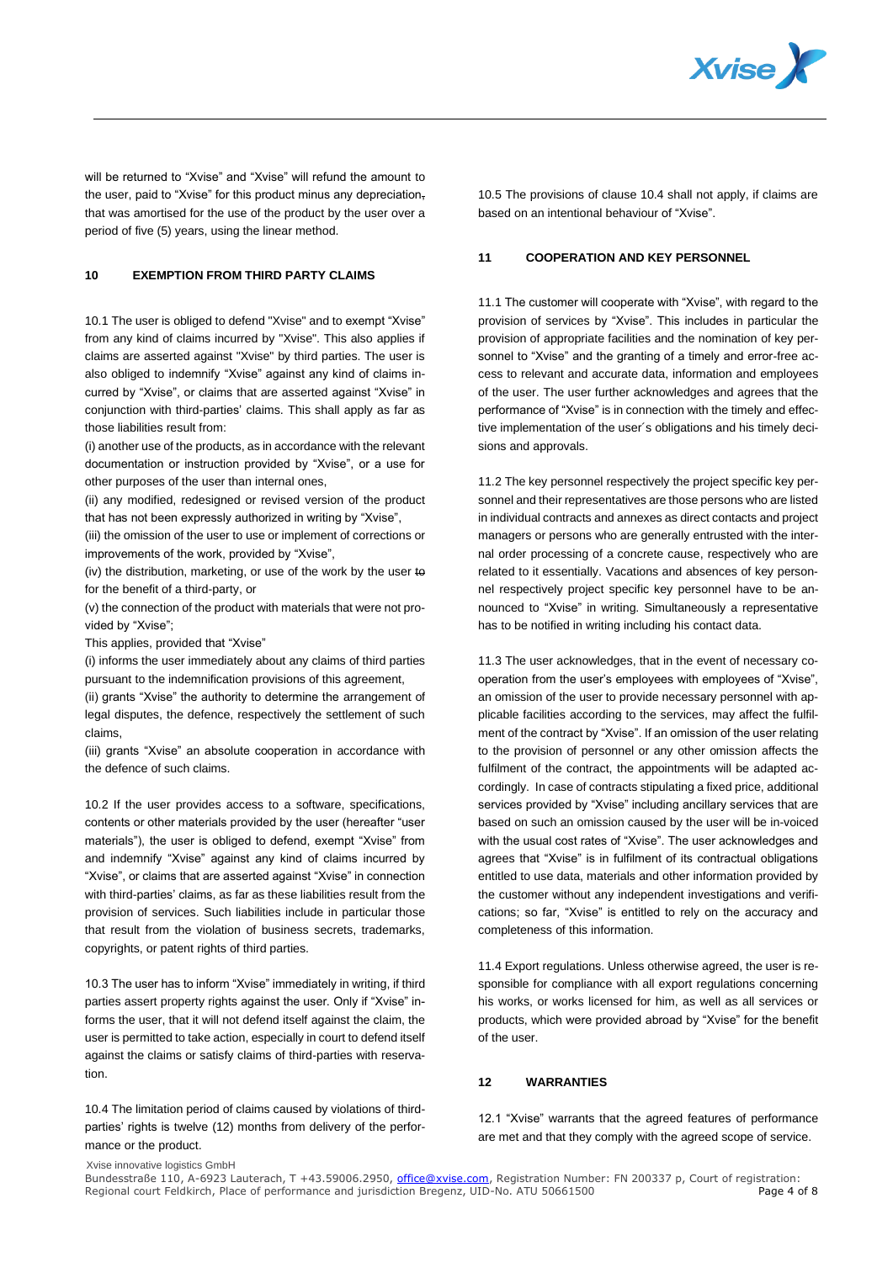

will be returned to "Xvise" and "Xvise" will refund the amount to the user, paid to "Xvise" for this product minus any depreciationthat was amortised for the use of the product by the user over a period of five (5) years, using the linear method.

# **10 EXEMPTION FROM THIRD PARTY CLAIMS**

10.1 The user is obliged to defend "Xvise" and to exempt "Xvise" from any kind of claims incurred by "Xvise". This also applies if claims are asserted against "Xvise" by third parties. The user is also obliged to indemnify "Xvise" against any kind of claims incurred by "Xvise", or claims that are asserted against "Xvise" in conjunction with third-parties' claims. This shall apply as far as those liabilities result from:

(i) another use of the products, as in accordance with the relevant documentation or instruction provided by "Xvise", or a use for other purposes of the user than internal ones,

(ii) any modified, redesigned or revised version of the product that has not been expressly authorized in writing by "Xvise",

(iii) the omission of the user to use or implement of corrections or improvements of the work, provided by "Xvise",

(iv) the distribution, marketing, or use of the work by the user to for the benefit of a third-party, or

(v) the connection of the product with materials that were not provided by "Xvise";

This applies, provided that "Xvise"

(i) informs the user immediately about any claims of third parties pursuant to the indemnification provisions of this agreement,

(ii) grants "Xvise" the authority to determine the arrangement of legal disputes, the defence, respectively the settlement of such claims,

(iii) grants "Xvise" an absolute cooperation in accordance with the defence of such claims.

10.2 If the user provides access to a software, specifications, contents or other materials provided by the user (hereafter "user materials"), the user is obliged to defend, exempt "Xvise" from and indemnify "Xvise" against any kind of claims incurred by "Xvise", or claims that are asserted against "Xvise" in connection with third-parties' claims, as far as these liabilities result from the provision of services. Such liabilities include in particular those that result from the violation of business secrets, trademarks, copyrights, or patent rights of third parties.

10.3 The user has to inform "Xvise" immediately in writing, if third parties assert property rights against the user. Only if "Xvise" informs the user, that it will not defend itself against the claim, the user is permitted to take action, especially in court to defend itself against the claims or satisfy claims of third-parties with reservation.

10.4 The limitation period of claims caused by violations of thirdparties' rights is twelve (12) months from delivery of the performance or the product.

10.5 The provisions of clause 10.4 shall not apply, if claims are based on an intentional behaviour of "Xvise".

# **11 COOPERATION AND KEY PERSONNEL**

11.1 The customer will cooperate with "Xvise", with regard to the provision of services by "Xvise". This includes in particular the provision of appropriate facilities and the nomination of key personnel to "Xvise" and the granting of a timely and error-free access to relevant and accurate data, information and employees of the user. The user further acknowledges and agrees that the performance of "Xvise" is in connection with the timely and effective implementation of the user´s obligations and his timely decisions and approvals.

11.2 The key personnel respectively the project specific key personnel and their representatives are those persons who are listed in individual contracts and annexes as direct contacts and project managers or persons who are generally entrusted with the internal order processing of a concrete cause, respectively who are related to it essentially. Vacations and absences of key personnel respectively project specific key personnel have to be announced to "Xvise" in writing. Simultaneously a representative has to be notified in writing including his contact data.

11.3 The user acknowledges, that in the event of necessary cooperation from the user's employees with employees of "Xvise", an omission of the user to provide necessary personnel with applicable facilities according to the services, may affect the fulfilment of the contract by "Xvise". If an omission of the user relating to the provision of personnel or any other omission affects the fulfilment of the contract, the appointments will be adapted accordingly. In case of contracts stipulating a fixed price, additional services provided by "Xvise" including ancillary services that are based on such an omission caused by the user will be in-voiced with the usual cost rates of "Xvise". The user acknowledges and agrees that "Xvise" is in fulfilment of its contractual obligations entitled to use data, materials and other information provided by the customer without any independent investigations and verifications; so far, "Xvise" is entitled to rely on the accuracy and completeness of this information.

11.4 Export regulations. Unless otherwise agreed, the user is responsible for compliance with all export regulations concerning his works, or works licensed for him, as well as all services or products, which were provided abroad by "Xvise" for the benefit of the user.

## **12 WARRANTIES**

12.1 "Xvise" warrants that the agreed features of performance are met and that they comply with the agreed scope of service.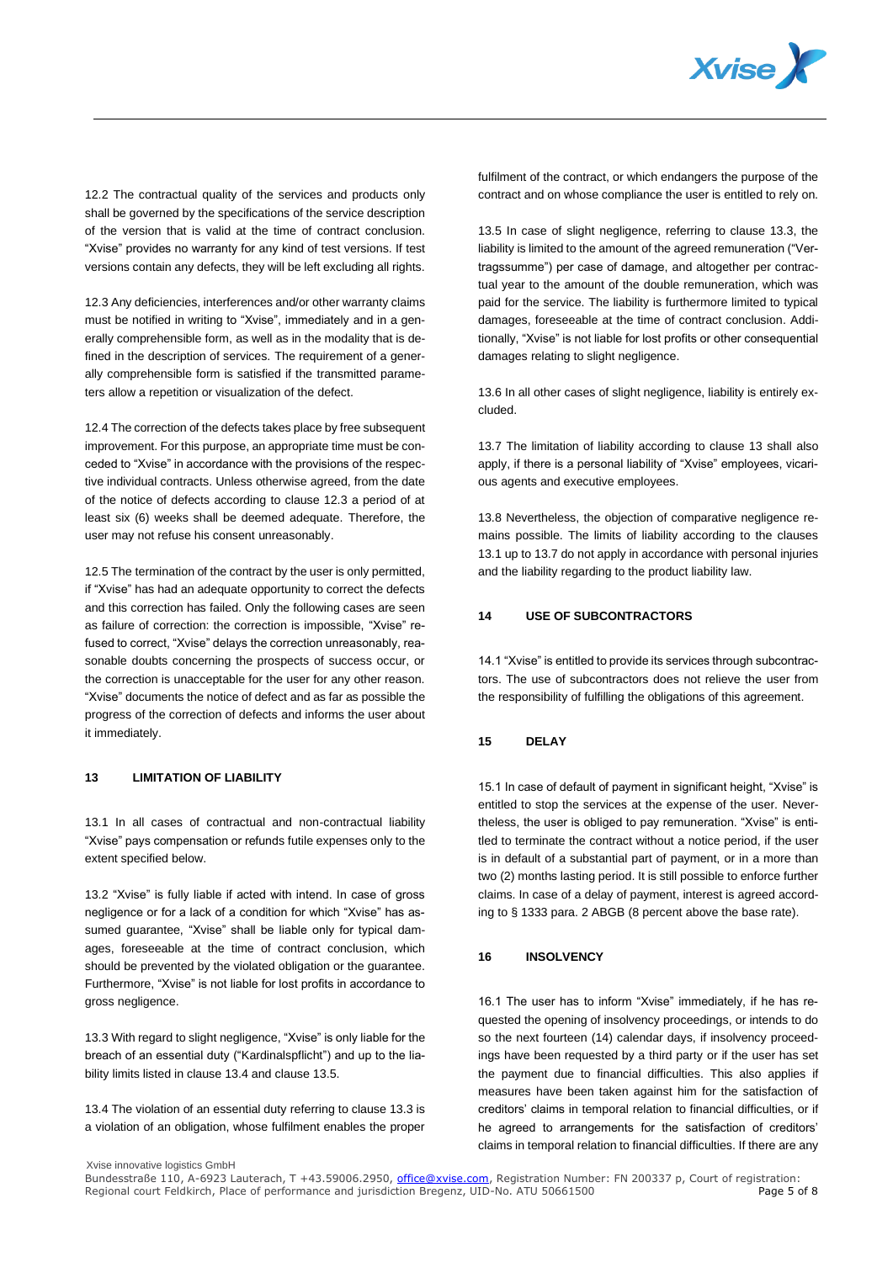

12.2 The contractual quality of the services and products only shall be governed by the specifications of the service description of the version that is valid at the time of contract conclusion. "Xvise" provides no warranty for any kind of test versions. If test versions contain any defects, they will be left excluding all rights.

12.3 Any deficiencies, interferences and/or other warranty claims must be notified in writing to "Xvise", immediately and in a generally comprehensible form, as well as in the modality that is defined in the description of services. The requirement of a generally comprehensible form is satisfied if the transmitted parameters allow a repetition or visualization of the defect.

12.4 The correction of the defects takes place by free subsequent improvement. For this purpose, an appropriate time must be conceded to "Xvise" in accordance with the provisions of the respective individual contracts. Unless otherwise agreed, from the date of the notice of defects according to clause 12.3 a period of at least six (6) weeks shall be deemed adequate. Therefore, the user may not refuse his consent unreasonably.

12.5 The termination of the contract by the user is only permitted, if "Xvise" has had an adequate opportunity to correct the defects and this correction has failed. Only the following cases are seen as failure of correction: the correction is impossible, "Xvise" refused to correct, "Xvise" delays the correction unreasonably, reasonable doubts concerning the prospects of success occur, or the correction is unacceptable for the user for any other reason. "Xvise" documents the notice of defect and as far as possible the progress of the correction of defects and informs the user about it immediately.

## **13 LIMITATION OF LIABILITY**

13.1 In all cases of contractual and non-contractual liability "Xvise" pays compensation or refunds futile expenses only to the extent specified below.

13.2 "Xvise" is fully liable if acted with intend. In case of gross negligence or for a lack of a condition for which "Xvise" has assumed guarantee, "Xvise" shall be liable only for typical damages, foreseeable at the time of contract conclusion, which should be prevented by the violated obligation or the guarantee. Furthermore, "Xvise" is not liable for lost profits in accordance to gross negligence.

13.3 With regard to slight negligence, "Xvise" is only liable for the breach of an essential duty ("Kardinalspflicht") and up to the liability limits listed in clause 13.4 and clause 13.5.

13.4 The violation of an essential duty referring to clause 13.3 is a violation of an obligation, whose fulfilment enables the proper

fulfilment of the contract, or which endangers the purpose of the contract and on whose compliance the user is entitled to rely on.

13.5 In case of slight negligence, referring to clause 13.3, the liability is limited to the amount of the agreed remuneration ("Vertragssumme") per case of damage, and altogether per contractual year to the amount of the double remuneration, which was paid for the service. The liability is furthermore limited to typical damages, foreseeable at the time of contract conclusion. Additionally, "Xvise" is not liable for lost profits or other consequential damages relating to slight negligence.

13.6 In all other cases of slight negligence, liability is entirely excluded.

13.7 The limitation of liability according to clause 13 shall also apply, if there is a personal liability of "Xvise" employees, vicarious agents and executive employees.

13.8 Nevertheless, the objection of comparative negligence remains possible. The limits of liability according to the clauses 13.1 up to 13.7 do not apply in accordance with personal injuries and the liability regarding to the product liability law.

# **14 USE OF SUBCONTRACTORS**

14.1 "Xvise" is entitled to provide its services through subcontractors. The use of subcontractors does not relieve the user from the responsibility of fulfilling the obligations of this agreement.

#### **15 DELAY**

15.1 In case of default of payment in significant height, "Xvise" is entitled to stop the services at the expense of the user. Nevertheless, the user is obliged to pay remuneration. "Xvise" is entitled to terminate the contract without a notice period, if the user is in default of a substantial part of payment, or in a more than two (2) months lasting period. It is still possible to enforce further claims. In case of a delay of payment, interest is agreed according to § 1333 para. 2 ABGB (8 percent above the base rate).

## **16 INSOLVENCY**

16.1 The user has to inform "Xvise" immediately, if he has requested the opening of insolvency proceedings, or intends to do so the next fourteen (14) calendar days, if insolvency proceedings have been requested by a third party or if the user has set the payment due to financial difficulties. This also applies if measures have been taken against him for the satisfaction of creditors' claims in temporal relation to financial difficulties, or if he agreed to arrangements for the satisfaction of creditors' claims in temporal relation to financial difficulties. If there are any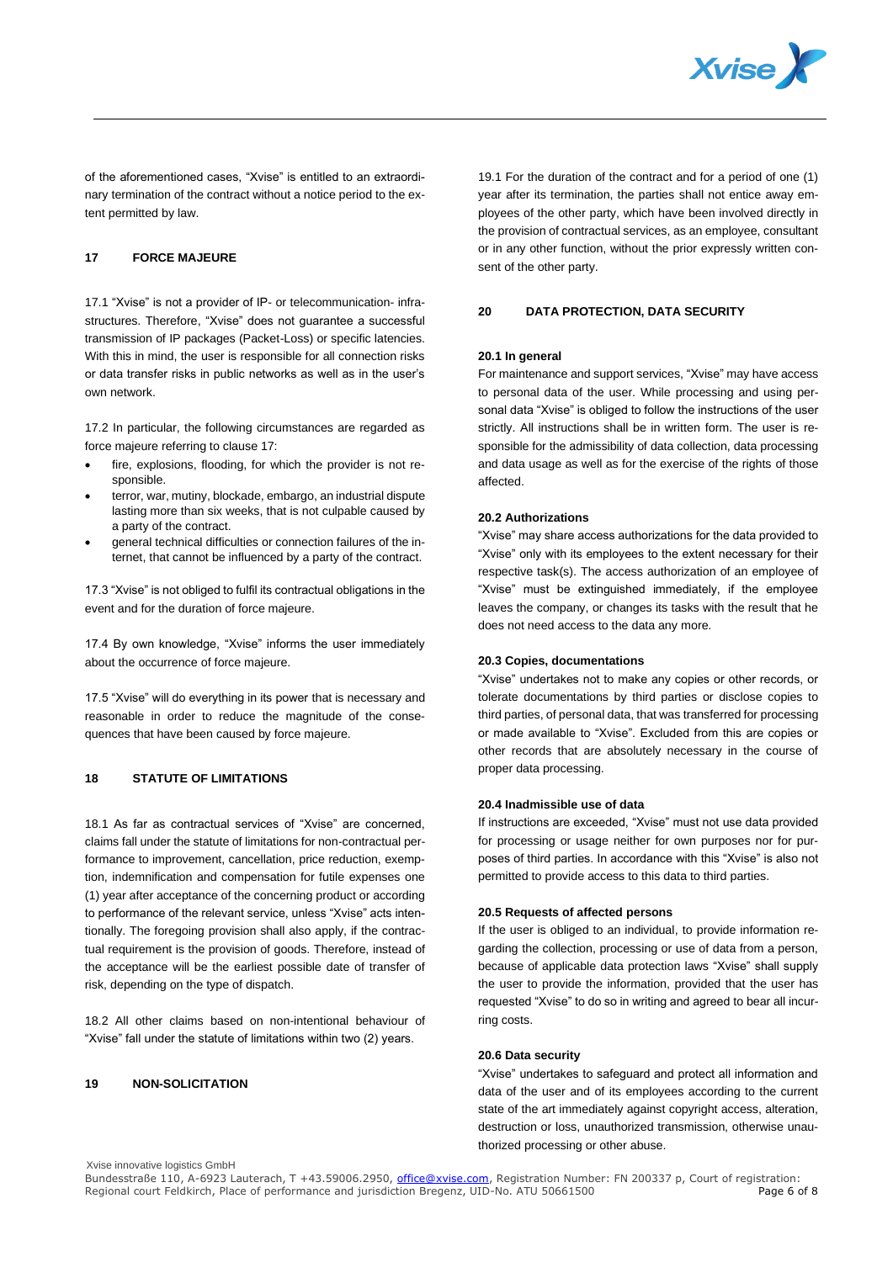

of the aforementioned cases, "Xvise" is entitled to an extraordinary termination of the contract without a notice period to the extent permitted by law.

# **17 FORCE MAJEURE**

17.1 "Xvise" is not a provider of IP- or telecommunication- infrastructures. Therefore, "Xvise" does not guarantee a successful transmission of IP packages (Packet-Loss) or specific latencies. With this in mind, the user is responsible for all connection risks or data transfer risks in public networks as well as in the user's own network.

17.2 In particular, the following circumstances are regarded as force majeure referring to clause 17:

- fire, explosions, flooding, for which the provider is not responsible.
- terror, war, mutiny, blockade, embargo, an industrial dispute lasting more than six weeks, that is not culpable caused by a party of the contract.
- general technical difficulties or connection failures of the internet, that cannot be influenced by a party of the contract.

17.3 "Xvise" is not obliged to fulfil its contractual obligations in the event and for the duration of force majeure.

17.4 By own knowledge, "Xvise" informs the user immediately about the occurrence of force majeure.

17.5 "Xvise" will do everything in its power that is necessary and reasonable in order to reduce the magnitude of the consequences that have been caused by force majeure.

# **18 STATUTE OF LIMITATIONS**

18.1 As far as contractual services of "Xvise" are concerned, claims fall under the statute of limitations for non-contractual performance to improvement, cancellation, price reduction, exemption, indemnification and compensation for futile expenses one (1) year after acceptance of the concerning product or according to performance of the relevant service, unless "Xvise" acts intentionally. The foregoing provision shall also apply, if the contractual requirement is the provision of goods. Therefore, instead of the acceptance will be the earliest possible date of transfer of risk, depending on the type of dispatch.

18.2 All other claims based on non-intentional behaviour of "Xvise" fall under the statute of limitations within two (2) years.

## **19 NON-SOLICITATION**

19.1 For the duration of the contract and for a period of one (1) year after its termination, the parties shall not entice away employees of the other party, which have been involved directly in the provision of contractual services, as an employee, consultant or in any other function, without the prior expressly written consent of the other party.

#### **20 DATA PROTECTION, DATA SECURITY**

#### **20.1 In general**

For maintenance and support services, "Xvise" may have access to personal data of the user. While processing and using personal data "Xvise" is obliged to follow the instructions of the user strictly. All instructions shall be in written form. The user is responsible for the admissibility of data collection, data processing and data usage as well as for the exercise of the rights of those affected.

#### **20.2 Authorizations**

"Xvise" may share access authorizations for the data provided to "Xvise" only with its employees to the extent necessary for their respective task(s). The access authorization of an employee of "Xvise" must be extinguished immediately, if the employee leaves the company, or changes its tasks with the result that he does not need access to the data any more.

#### **20.3 Copies, documentations**

"Xvise" undertakes not to make any copies or other records, or tolerate documentations by third parties or disclose copies to third parties, of personal data, that was transferred for processing or made available to "Xvise". Excluded from this are copies or other records that are absolutely necessary in the course of proper data processing.

## **20.4 Inadmissible use of data**

If instructions are exceeded, "Xvise" must not use data provided for processing or usage neither for own purposes nor for purposes of third parties. In accordance with this "Xvise" is also not permitted to provide access to this data to third parties.

#### **20.5 Requests of affected persons**

If the user is obliged to an individual, to provide information regarding the collection, processing or use of data from a person, because of applicable data protection laws "Xvise" shall supply the user to provide the information, provided that the user has requested "Xvise" to do so in writing and agreed to bear all incurring costs.

# **20.6 Data security**

"Xvise" undertakes to safeguard and protect all information and data of the user and of its employees according to the current state of the art immediately against copyright access, alteration, destruction or loss, unauthorized transmission, otherwise unauthorized processing or other abuse.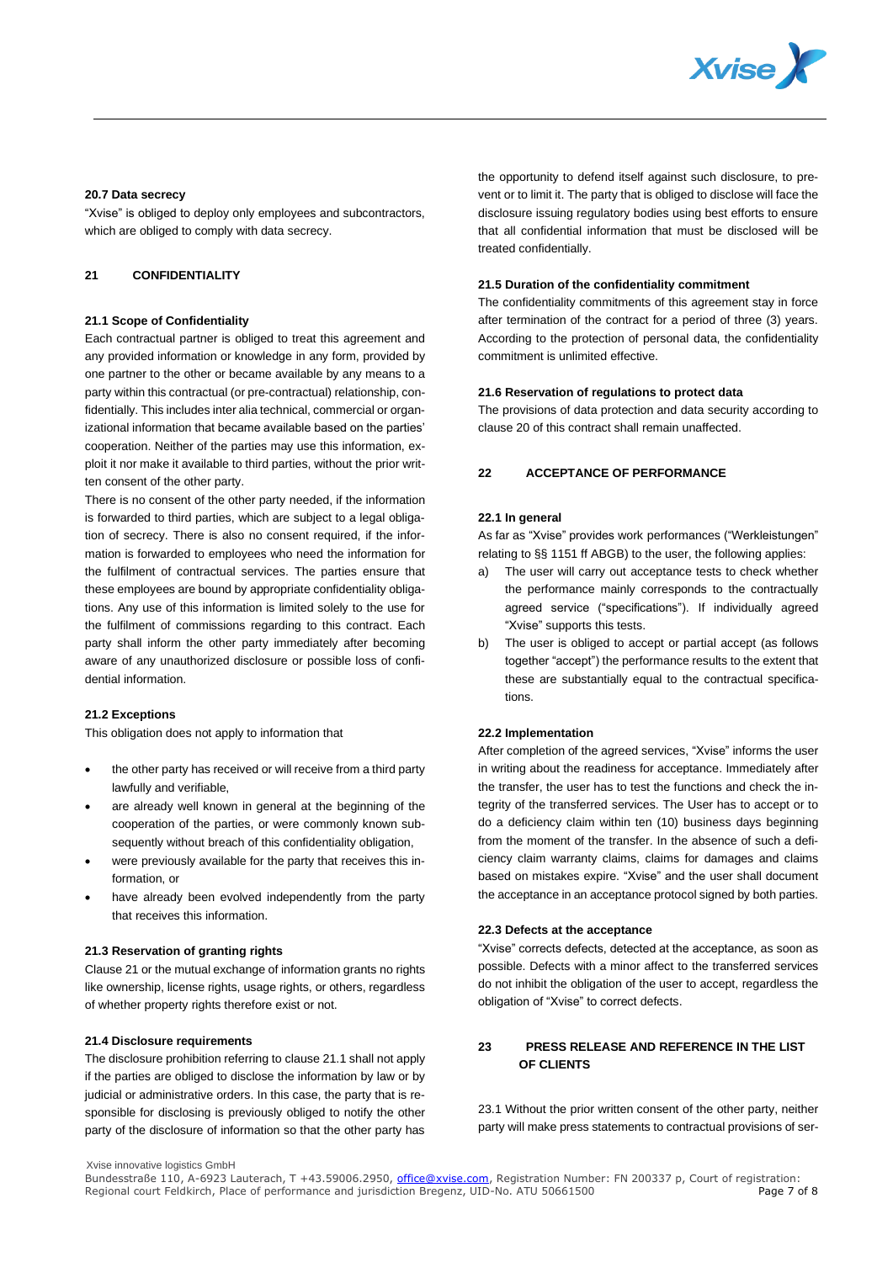

#### **20.7 Data secrecy**

"Xvise" is obliged to deploy only employees and subcontractors, which are obliged to comply with data secrecy.

# **21 CONFIDENTIALITY**

## **21.1 Scope of Confidentiality**

Each contractual partner is obliged to treat this agreement and any provided information or knowledge in any form, provided by one partner to the other or became available by any means to a party within this contractual (or pre-contractual) relationship, confidentially. This includes inter alia technical, commercial or organizational information that became available based on the parties' cooperation. Neither of the parties may use this information, exploit it nor make it available to third parties, without the prior written consent of the other party.

There is no consent of the other party needed, if the information is forwarded to third parties, which are subject to a legal obligation of secrecy. There is also no consent required, if the information is forwarded to employees who need the information for the fulfilment of contractual services. The parties ensure that these employees are bound by appropriate confidentiality obligations. Any use of this information is limited solely to the use for the fulfilment of commissions regarding to this contract. Each party shall inform the other party immediately after becoming aware of any unauthorized disclosure or possible loss of confidential information.

## **21.2 Exceptions**

This obligation does not apply to information that

- the other party has received or will receive from a third party lawfully and verifiable,
- are already well known in general at the beginning of the cooperation of the parties, or were commonly known subsequently without breach of this confidentiality obligation,
- were previously available for the party that receives this information, or
- have already been evolved independently from the party that receives this information.

#### **21.3 Reservation of granting rights**

Clause 21 or the mutual exchange of information grants no rights like ownership, license rights, usage rights, or others, regardless of whether property rights therefore exist or not.

## **21.4 Disclosure requirements**

The disclosure prohibition referring to clause 21.1 shall not apply if the parties are obliged to disclose the information by law or by judicial or administrative orders. In this case, the party that is responsible for disclosing is previously obliged to notify the other party of the disclosure of information so that the other party has

the opportunity to defend itself against such disclosure, to prevent or to limit it. The party that is obliged to disclose will face the disclosure issuing regulatory bodies using best efforts to ensure that all confidential information that must be disclosed will be treated confidentially.

## **21.5 Duration of the confidentiality commitment**

The confidentiality commitments of this agreement stay in force after termination of the contract for a period of three (3) years. According to the protection of personal data, the confidentiality commitment is unlimited effective.

## **21.6 Reservation of regulations to protect data**

The provisions of data protection and data security according to clause 20 of this contract shall remain unaffected.

# **22 ACCEPTANCE OF PERFORMANCE**

## **22.1 In general**

As far as "Xvise" provides work performances ("Werkleistungen" relating to §§ 1151 ff ABGB) to the user, the following applies:

- The user will carry out acceptance tests to check whether the performance mainly corresponds to the contractually agreed service ("specifications"). If individually agreed "Xvise" supports this tests.
- b) The user is obliged to accept or partial accept (as follows together "accept") the performance results to the extent that these are substantially equal to the contractual specifications.

#### **22.2 Implementation**

After completion of the agreed services, "Xvise" informs the user in writing about the readiness for acceptance. Immediately after the transfer, the user has to test the functions and check the integrity of the transferred services. The User has to accept or to do a deficiency claim within ten (10) business days beginning from the moment of the transfer. In the absence of such a deficiency claim warranty claims, claims for damages and claims based on mistakes expire. "Xvise" and the user shall document the acceptance in an acceptance protocol signed by both parties.

# **22.3 Defects at the acceptance**

"Xvise" corrects defects, detected at the acceptance, as soon as possible. Defects with a minor affect to the transferred services do not inhibit the obligation of the user to accept, regardless the obligation of "Xvise" to correct defects.

# **23 PRESS RELEASE AND REFERENCE IN THE LIST OF CLIENTS**

23.1 Without the prior written consent of the other party, neither party will make press statements to contractual provisions of ser-